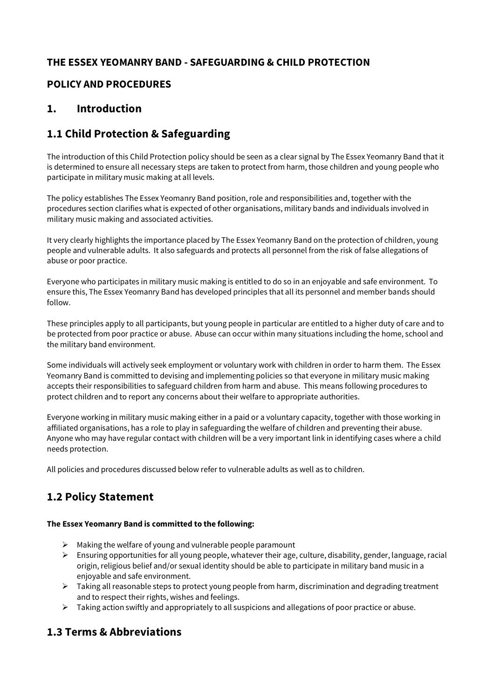## **THE ESSEX YEOMANRY BAND - SAFEGUARDING & CHILD PROTECTION**

### **POLICY AND PROCEDURES**

### **1. Introduction**

# **1.1 Child Protection & Safeguarding**

The introduction of this Child Protection policy should be seen as a clear signal by The Essex Yeomanry Band that it is determined to ensure all necessary steps are taken to protect from harm, those children and young people who participate in military music making at all levels.

The policy establishes The Essex Yeomanry Band position, role and responsibilities and, together with the procedures section clarifies what is expected of other organisations, military bands and individuals involved in military music making and associated activities.

It very clearly highlights the importance placed by The Essex Yeomanry Band on the protection of children, young people and vulnerable adults. It also safeguards and protects all personnel from the risk of false allegations of abuse or poor practice.

Everyone who participates in military music making is entitled to do so in an enjoyable and safe environment. To ensure this, The Essex Yeomanry Band has developed principles that all its personnel and member bands should follow.

These principles apply to all participants, but young people in particular are entitled to a higher duty of care and to be protected from poor practice or abuse. Abuse can occur within many situations including the home, school and the military band environment.

Some individuals will actively seek employment or voluntary work with children in order to harm them. The Essex Yeomanry Band is committed to devising and implementing policies so that everyone in military music making accepts their responsibilities to safeguard children from harm and abuse. This means following procedures to protect children and to report any concerns about their welfare to appropriate authorities.

Everyone working in military music making either in a paid or a voluntary capacity, together with those working in affiliated organisations, has a role to play in safeguarding the welfare of children and preventing their abuse. Anyone who may have regular contact with children will be a very important link in identifying cases where a child needs protection.

All policies and procedures discussed below refer to vulnerable adults as well as to children.

# **1.2 Policy Statement**

### **The Essex Yeomanry Band is committed to the following:**

- $\triangleright$  Making the welfare of young and vulnerable people paramount
- $\triangleright$  Ensuring opportunities for all young people, whatever their age, culture, disability, gender, language, racial origin, religious belief and/or sexual identity should be able to participate in military band music in a enjoyable and safe environment.
- $\triangleright$  Taking all reasonable steps to protect young people from harm, discrimination and degrading treatment and to respect their rights, wishes and feelings.
- $\triangleright$  Taking action swiftly and appropriately to all suspicions and allegations of poor practice or abuse.

## **1.3 Terms & Abbreviations**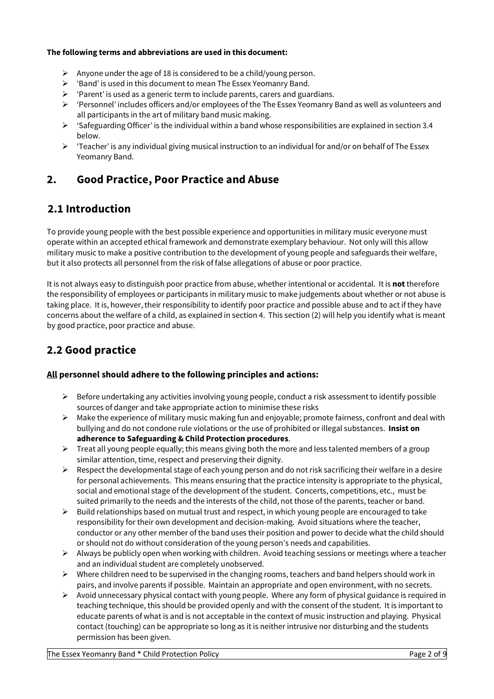#### **The following terms and abbreviations are used in this document:**

- $\triangleright$  Anyone under the age of 18 is considered to be a child/young person.
- $\triangleright$  'Band' is used in this document to mean The Essex Yeomanry Band.
- $\triangleright$  'Parent' is used as a generic term to include parents, carers and guardians.
- Ø 'Personnel' includes officers and/or employees of the The Essex Yeomanry Band as well as volunteers and all participants in the art of military band music making.
- $\triangleright$  'Safeguarding Officer' is the individual within a band whose responsibilities are explained in section 3.4 below.
- $\triangleright$  'Teacher' is any individual giving musical instruction to an individual for and/or on behalf of The Essex Yeomanry Band.

## **2. Good Practice, Poor Practice and Abuse**

## **2.1 Introduction**

To provide young people with the best possible experience and opportunities in military music everyone must operate within an accepted ethical framework and demonstrate exemplary behaviour. Not only will this allow military music to make a positive contribution to the development of young people and safeguards their welfare, but it also protects all personnel from the risk of false allegations of abuse or poor practice.

It is not always easy to distinguish poor practice from abuse, whether intentional or accidental. It is **not**therefore the responsibility of employees or participants in military music to make judgements about whether or not abuse is taking place. It is, however, their responsibility to identify poor practice and possible abuse and to act if they have concerns about the welfare of a child, as explained in section 4. This section (2) will help you identify what is meant by good practice, poor practice and abuse.

# **2.2 Good practice**

### **All personnel should adhere to the following principles and actions:**

- $\triangleright$  Before undertaking any activities involving young people, conduct a risk assessment to identify possible sources of danger and take appropriate action to minimise these risks
- $\triangleright$  Make the experience of military music making fun and enjoyable; promote fairness, confront and deal with bullying and do not condone rule violations or the use of prohibited or illegal substances. **Insist on adherence to Safeguarding & Child Protection procedures**.
- $\triangleright$  Treat all young people equally; this means giving both the more and less talented members of a group similar attention, time, respect and preserving their dignity.
- $\triangleright$  Respect the developmental stage of each young person and do not risk sacrificing their welfare in a desire for personal achievements. This means ensuring that the practice intensity is appropriate to the physical, social and emotional stage of the development of the student. Concerts, competitions, etc., must be suited primarily to the needs and the interests of the child, not those of the parents, teacher or band.
- $\triangleright$  Build relationships based on mutual trust and respect, in which young people are encouraged to take responsibility for their own development and decision-making. Avoid situations where the teacher, conductor or any other member of the band uses their position and power to decide what the child should or should not do without consideration of the young person's needs and capabilities.
- $\triangleright$  Always be publicly open when working with children. Avoid teaching sessions or meetings where a teacher and an individual student are completely unobserved.
- $\triangleright$  Where children need to be supervised in the changing rooms, teachers and band helpers should work in pairs, and involve parents if possible. Maintain an appropriate and open environment, with no secrets.
- $\triangleright$  Avoid unnecessary physical contact with young people. Where any form of physical guidance is required in teaching technique, this should be provided openly and with the consent of the student. It is important to educate parents of what is and is not acceptable in the context of music instruction and playing. Physical contact (touching) can be appropriate so long as it is neither intrusive nor disturbing and the students permission has been given.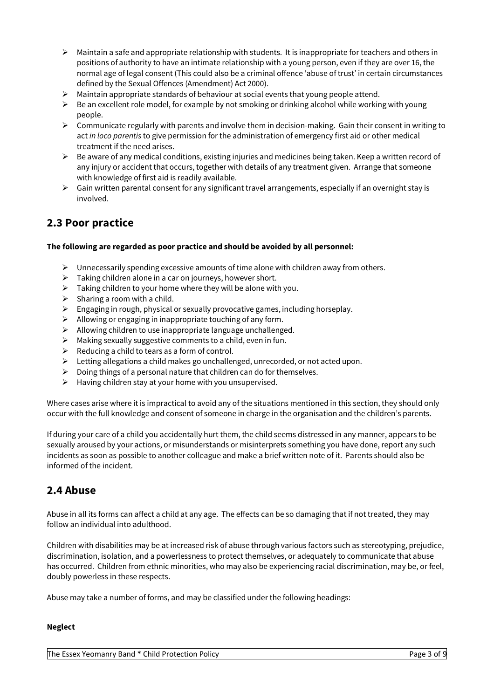- $\triangleright$  Maintain a safe and appropriate relationship with students. It is inappropriate for teachers and others in positions of authority to have an intimate relationship with a young person, even if they are over 16, the normal age of legal consent (This could also be a criminal offence 'abuse of trust' in certain circumstances defined by the Sexual Offences (Amendment) Act 2000).
- $\triangleright$  Maintain appropriate standards of behaviour at social events that young people attend.
- $\triangleright$  Be an excellent role model, for example by not smoking or drinking alcohol while working with young people.
- $\triangleright$  Communicate regularly with parents and involve them in decision-making. Gain their consent in writing to act *in loco parentis* to give permission for the administration of emergency first aid or other medical treatment if the need arises.
- $\triangleright$  Be aware of any medical conditions, existing injuries and medicines being taken. Keep a written record of any injury or accident that occurs, together with details of any treatment given. Arrange that someone with knowledge of first aid is readily available.
- $\triangleright$  Gain written parental consent for any significant travel arrangements, especially if an overnight stay is involved.

## **2.3 Poor practice**

#### **The following are regarded as poor practice and should be avoided by all personnel:**

- $\triangleright$  Unnecessarily spending excessive amounts of time alone with children away from others.
- $\triangleright$  Taking children alone in a car on journeys, however short.
- $\triangleright$  Taking children to your home where they will be alone with you.
- $\triangleright$  Sharing a room with a child.
- $\triangleright$  Engaging in rough, physical or sexually provocative games, including horseplay.
- $\triangleright$  Allowing or engaging in inappropriate touching of any form.
- $\triangleright$  Allowing children to use inappropriate language unchallenged.
- $\triangleright$  Making sexually suggestive comments to a child, even in fun.
- $\triangleright$  Reducing a child to tears as a form of control.
- $\triangleright$  Letting allegations a child makes go unchallenged, unrecorded, or not acted upon.
- $\triangleright$  Doing things of a personal nature that children can do for themselves.
- $\triangleright$  Having children stay at your home with you unsupervised.

Where cases arise where it is impractical to avoid any of the situations mentioned in this section, they should only occur with the full knowledge and consent of someone in charge in the organisation and the children's parents.

If during your care of a child you accidentally hurt them, the child seems distressed in any manner, appears to be sexually aroused by your actions, or misunderstands or misinterprets something you have done, report any such incidents as soon as possible to another colleague and make a brief written note of it. Parents should also be informed of the incident.

### **2.4 Abuse**

Abuse in all its forms can affect a child at any age. The effects can be so damaging that if not treated, they may follow an individual into adulthood.

Children with disabilities may be at increased risk of abuse through various factors such as stereotyping, prejudice, discrimination, isolation, and a powerlessness to protect themselves, or adequately to communicate that abuse has occurred. Children from ethnic minorities, who may also be experiencing racial discrimination, may be, or feel, doubly powerless in these respects.

Abuse may take a number of forms, and may be classified under the following headings:

#### **Neglect**

The Essex Yeomanry Band \* Child Protection Policy Page 3 of 9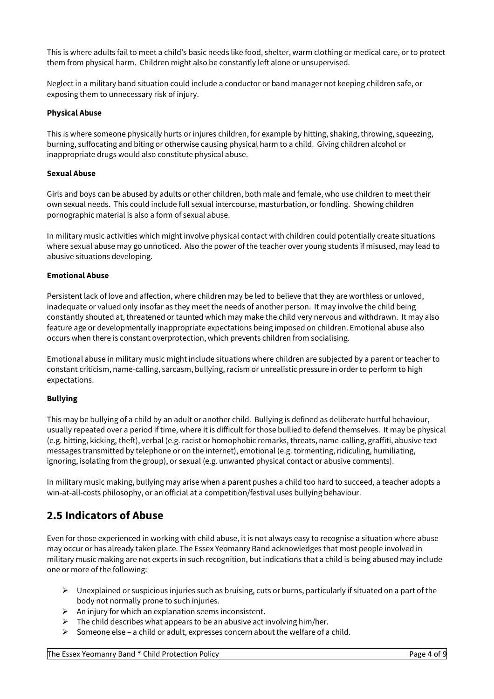This is where adults fail to meet a child's basic needs like food, shelter, warm clothing or medical care, or to protect them from physical harm. Children might also be constantly left alone or unsupervised.

Neglect in a military band situation could include a conductor or band manager not keeping children safe, or exposing them to unnecessary risk of injury.

#### **Physical Abuse**

This is where someone physically hurts or injures children, for example by hitting, shaking, throwing, squeezing, burning, suffocating and biting or otherwise causing physical harm to a child. Giving children alcohol or inappropriate drugs would also constitute physical abuse.

#### **Sexual Abuse**

Girls and boys can be abused by adults or other children, both male and female, who use children to meet their own sexual needs. This could include full sexual intercourse, masturbation, or fondling. Showing children pornographic material is also a form of sexual abuse.

In military music activities which might involve physical contact with children could potentially create situations where sexual abuse may go unnoticed. Also the power of the teacher over young students if misused, may lead to abusive situations developing.

#### **Emotional Abuse**

Persistent lack of love and affection, where children may be led to believe that they are worthless or unloved, inadequate or valued only insofar as they meet the needs of another person. It may involve the child being constantly shouted at, threatened or taunted which may make the child very nervous and withdrawn. It may also feature age or developmentally inappropriate expectations being imposed on children. Emotional abuse also occurs when there is constant overprotection, which prevents children from socialising.

Emotional abuse in military music might include situations where children are subjected by a parent or teacher to constant criticism, name-calling, sarcasm, bullying, racism or unrealistic pressure in order to perform to high expectations.

#### **Bullying**

This may be bullying of a child by an adult or another child. Bullying is defined as deliberate hurtful behaviour, usually repeated over a period if time, where it is difficult for those bullied to defend themselves. It may be physical (e.g. hitting, kicking, theft), verbal (e.g. racist or homophobic remarks, threats, name-calling, graffiti, abusive text messages transmitted by telephone or on the internet), emotional (e.g. tormenting, ridiculing, humiliating, ignoring, isolating from the group), or sexual (e.g. unwanted physical contact or abusive comments).

In military music making, bullying may arise when a parent pushes a child too hard to succeed, a teacher adopts a win-at-all-costs philosophy, or an official at a competition/festival uses bullying behaviour.

### **2.5 Indicators of Abuse**

Even for those experienced in working with child abuse, it is not always easy to recognise a situation where abuse may occur or has already taken place. The Essex Yeomanry Band acknowledges that most people involved in military music making are not experts in such recognition, but indications that a child is being abused may include one or more of the following:

- $\triangleright$  Unexplained or suspicious injuries such as bruising, cuts or burns, particularly if situated on a part of the body not normally prone to such injuries.
- $\triangleright$  An injury for which an explanation seems inconsistent.
- $\triangleright$  The child describes what appears to be an abusive act involving him/her.
- $\triangleright$  Someone else a child or adult, expresses concern about the welfare of a child.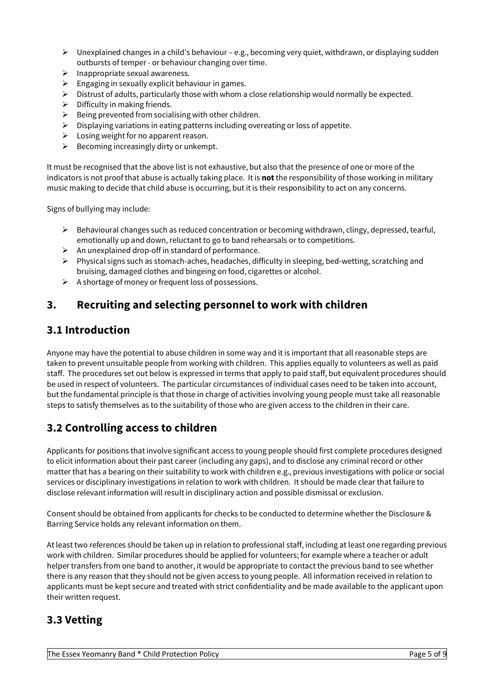- $\triangleright$  Unexplained changes in a child's behaviour e.g., becoming very quiet, withdrawn, or displaying sudden outbursts of temper - or behaviour changing over time.
- $\triangleright$  Inappropriate sexual awareness.
- $\triangleright$  Engaging in sexually explicit behaviour in games.
- $\triangleright$  Distrust of adults, particularly those with whom a close relationship would normally be expected.
- $\triangleright$  Difficulty in making friends.
- $\triangleright$  Being prevented from socialising with other children.
- $\triangleright$  Displaying variations in eating patterns including overeating or loss of appetite.
- $\triangleright$  Losing weight for no apparent reason.
- $\triangleright$  Becoming increasingly dirty or unkempt.

It must be recognised that the above list is not exhaustive, but also that the presence of one or more of the indicators is not proof that abuse is actually taking place. It is **not**the responsibility of those working in military music making to decide that child abuse is occurring, but it is their responsibility to act on any concerns.

Signs of bullying may include:

- $\triangleright$  Behavioural changes such as reduced concentration or becoming withdrawn, clingy, depressed, tearful, emotionally up and down, reluctant to go to band rehearsals or to competitions.
- $\triangleright$  An unexplained drop-off in standard of performance.
- $\triangleright$  Physical signs such as stomach-aches, headaches, difficulty in sleeping, bed-wetting, scratching and bruising, damaged clothes and bingeing on food, cigarettes or alcohol.
- $\triangleright$  A shortage of money or frequent loss of possessions.

# **3. Recruiting and selecting personnel to work with children**

## **3.1 Introduction**

Anyone may have the potential to abuse children in some way and it is important that all reasonable steps are taken to prevent unsuitable people from working with children. This applies equally to volunteers as well as paid staff. The procedures set out below is expressed in terms that apply to paid staff, but equivalent procedures should be used in respect of volunteers. The particular circumstances of individual cases need to be taken into account, but the fundamental principle is that those in charge of activities involving young people must take all reasonable steps to satisfy themselves as to the suitability of those who are given access to the children in their care.

# **3.2 Controlling access to children**

Applicants for positions that involve significant access to young people should first complete procedures designed to elicit information about their past career (including any gaps), and to disclose any criminal record or other matter that has a bearing on their suitability to work with children e.g., previous investigations with police or social services or disciplinary investigations in relation to work with children. It should be made clear that failure to disclose relevant information will result in disciplinary action and possible dismissal or exclusion.

Consent should be obtained from applicants for checks to be conducted to determine whether the Disclosure & Barring Service holds any relevant information on them.

At least two references should be taken up in relation to professional staff, including at least one regarding previous work with children. Similar procedures should be applied for volunteers; for example where a teacher or adult helper transfers from one band to another, it would be appropriate to contact the previous band to see whether there is any reason that they should not be given access to young people. All information received in relation to applicants must be kept secure and treated with strict confidentiality and be made available to the applicant upon their written request.

## **3.3 Vetting**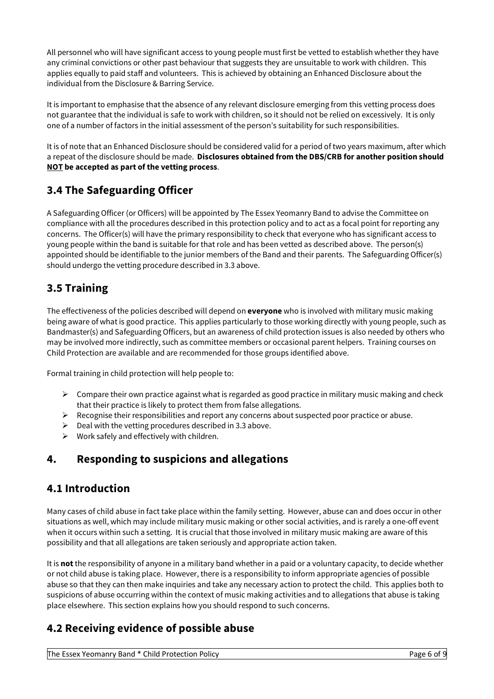All personnel who will have significant access to young people must first be vetted to establish whether they have any criminal convictions or other past behaviour that suggests they are unsuitable to work with children. This applies equally to paid staff and volunteers. This is achieved by obtaining an Enhanced Disclosure about the individual from the Disclosure & Barring Service.

It is important to emphasise that the absence of any relevant disclosure emerging from this vetting process does not guarantee that the individual is safe to work with children, so it should not be relied on excessively. It is only one of a number of factors in the initial assessment of the person's suitability for such responsibilities.

It is of note that an Enhanced Disclosure should be considered valid for a period of two years maximum, after which a repeat of the disclosure should be made. **Disclosures obtained from the DBS/CRB for another position should NOT be accepted as part of the vetting process**.

# **3.4 The Safeguarding Officer**

A Safeguarding Officer (or Officers) will be appointed by The Essex Yeomanry Band to advise the Committee on compliance with all the procedures described in this protection policy and to act as a focal point for reporting any concerns. The Officer(s) will have the primary responsibility to check that everyone who has significant access to young people within the band is suitable for that role and has been vetted as described above. The person(s) appointed should be identifiable to the junior members of the Band and their parents. The Safeguarding Officer(s) should undergo the vetting procedure described in 3.3 above.

# **3.5 Training**

The effectiveness of the policies described will depend on **everyone** who is involved with military music making being aware of what is good practice. This applies particularly to those working directly with young people, such as Bandmaster(s) and Safeguarding Officers, but an awareness of child protection issues is also needed by others who may be involved more indirectly, such as committee members or occasional parent helpers. Training courses on Child Protection are available and are recommended for those groups identified above.

Formal training in child protection will help people to:

- $\triangleright$  Compare their own practice against what is regarded as good practice in military music making and check that their practice is likely to protect them from false allegations.
- Ø Recognise their responsibilities and report any concerns about suspected poor practice or abuse.
- $\triangleright$  Deal with the vetting procedures described in 3.3 above.
- $\triangleright$  Work safely and effectively with children.

# **4. Responding to suspicions and allegations**

### **4.1 Introduction**

Many cases of child abuse in fact take place within the family setting. However, abuse can and does occur in other situations as well, which may include military music making or other social activities, and is rarely a one-off event when it occurs within such a setting. It is crucial that those involved in military music making are aware of this possibility and that all allegations are taken seriously and appropriate action taken.

It is **not**the responsibility of anyone in a military band whether in a paid or a voluntary capacity, to decide whether or not child abuse is taking place. However, there is a responsibility to inform appropriate agencies of possible abuse so that they can then make inquiries and take any necessary action to protect the child. This applies both to suspicions of abuse occurring within the context of music making activities and to allegations that abuse is taking place elsewhere. This section explains how you should respond to such concerns.

# **4.2 Receiving evidence of possible abuse**

The Essex Yeomanry Band \* Child Protection Policy Page 6 of 9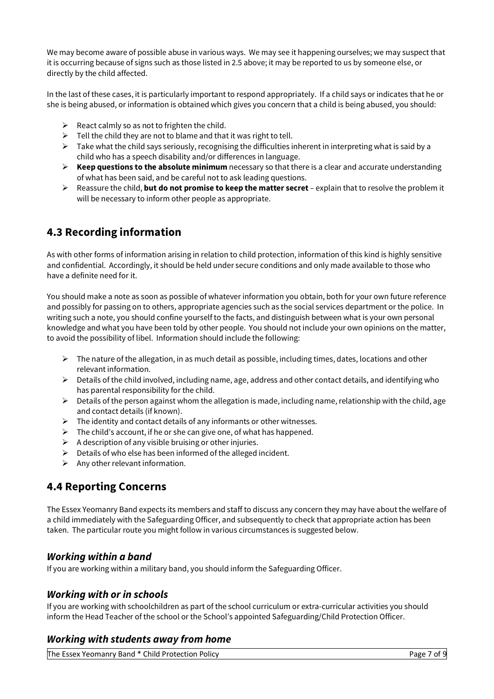We may become aware of possible abuse in various ways. We may see it happening ourselves; we may suspect that it is occurring because of signs such as those listed in 2.5 above; it may be reported to us by someone else, or directly by the child affected.

In the last of these cases, it is particularly important to respond appropriately. If a child says or indicates that he or she is being abused, or information is obtained which gives you concern that a child is being abused, you should:

- $\triangleright$  React calmly so as not to frighten the child.
- $\triangleright$  Tell the child they are not to blame and that it was right to tell.
- $\triangleright$  Take what the child says seriously, recognising the difficulties inherent in interpreting what is said by a child who has a speech disability and/or differences in language.
- $\triangleright$  **Keep questions to the absolute minimum** necessary so that there is a clear and accurate understanding of what has been said, and be careful not to ask leading questions.
- Ø Reassure the child, **but do not promise to keep the matter secret** explain that to resolve the problem it will be necessary to inform other people as appropriate.

# **4.3 Recording information**

As with other forms of information arising in relation to child protection, information of this kind is highly sensitive and confidential. Accordingly, it should be held under secure conditions and only made available to those who have a definite need for it.

You should make a note as soon as possible of whatever information you obtain, both for your own future reference and possibly for passing on to others, appropriate agencies such as the social services department or the police. In writing such a note, you should confine yourself to the facts, and distinguish between what is your own personal knowledge and what you have been told by other people. You should not include your own opinions on the matter, to avoid the possibility of libel. Information should include the following:

- $\triangleright$  The nature of the allegation, in as much detail as possible, including times, dates, locations and other relevant information.
- $\triangleright$  Details of the child involved, including name, age, address and other contact details, and identifying who has parental responsibility for the child.
- $\triangleright$  Details of the person against whom the allegation is made, including name, relationship with the child, age and contact details (if known).
- $\triangleright$  The identity and contact details of any informants or other witnesses.
- $\triangleright$  The child's account, if he or she can give one, of what has happened.
- $\triangleright$  A description of any visible bruising or other injuries.
- $\triangleright$  Details of who else has been informed of the alleged incident.
- $\triangleright$  Any other relevant information.

## **4.4 Reporting Concerns**

The Essex Yeomanry Band expects its members and staff to discuss any concern they may have about the welfare of a child immediately with the Safeguarding Officer, and subsequently to check that appropriate action has been taken. The particular route you might follow in various circumstances is suggested below.

### *Working within a band*

If you are working within a military band, you should inform the Safeguarding Officer.

### *Working with or in schools*

If you are working with schoolchildren as part of the school curriculum or extra-curricular activities you should inform the Head Teacher of the school or the School's appointed Safeguarding/Child Protection Officer.

### *Working with students away from home*

The Essex Yeomanry Band \* Child Protection Policy Page 7 of 9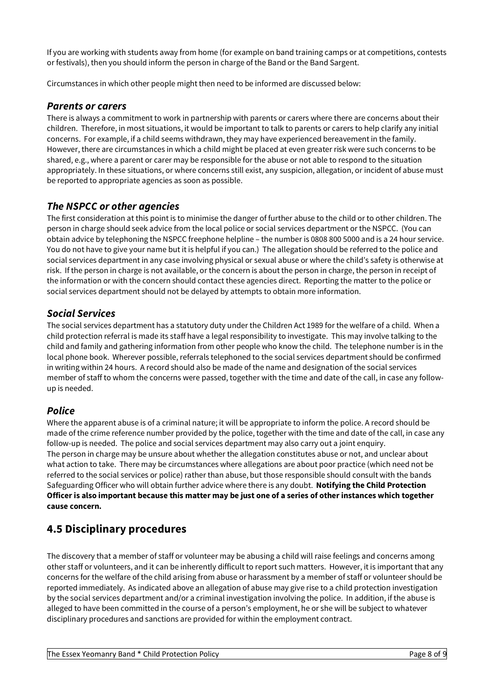If you are working with students away from home (for example on band training camps or at competitions, contests or festivals), then you should inform the person in charge of the Band or the Band Sargent.

Circumstances in which other people might then need to be informed are discussed below:

### *Parents or carers*

There is always a commitment to work in partnership with parents or carers where there are concerns about their children. Therefore, in most situations, it would be important to talk to parents or carers to help clarify any initial concerns. For example, if a child seems withdrawn, they may have experienced bereavement in the family. However, there are circumstances in which a child might be placed at even greater risk were such concerns to be shared, e.g., where a parent or carer may be responsible for the abuse or not able to respond to the situation appropriately. In these situations, or where concerns still exist, any suspicion, allegation, or incident of abuse must be reported to appropriate agencies as soon as possible.

### *The NSPCC or other agencies*

The first consideration at this point is to minimise the danger of further abuse to the child or to other children. The person in charge should seek advice from the local police or social services department or the NSPCC. (You can obtain advice by telephoning the NSPCC freephone helpline – the number is 0808 800 5000 and is a 24 hour service. You do not have to give your name but it is helpful if you can.) The allegation should be referred to the police and social services department in any case involving physical or sexual abuse or where the child's safety is otherwise at risk. If the person in charge is not available, or the concern is about the person in charge, the person in receipt of the information or with the concern should contact these agencies direct. Reporting the matter to the police or social services department should not be delayed by attempts to obtain more information.

### *Social Services*

The social services department has a statutory duty under the Children Act 1989 for the welfare of a child. When a child protection referral is made its staff have a legal responsibility to investigate. This may involve talking to the child and family and gathering information from other people who know the child. The telephone number is in the local phone book. Wherever possible, referrals telephoned to the social services department should be confirmed in writing within 24 hours. A record should also be made of the name and designation of the social services member of staff to whom the concerns were passed, together with the time and date of the call, in case any followup is needed.

### *Police*

Where the apparent abuse is of a criminal nature; it will be appropriate to inform the police. A record should be made of the crime reference number provided by the police, together with the time and date of the call, in case any follow-up is needed. The police and social services department may also carry out a joint enquiry. The person in charge may be unsure about whether the allegation constitutes abuse or not, and unclear about what action to take. There may be circumstances where allegations are about poor practice (which need not be referred to the social services or police) rather than abuse, but those responsible should consult with the bands Safeguarding Officer who will obtain further advice where there is any doubt. **Notifying the Child Protection Officer is also important because this matter may be just one of a series of other instances which together cause concern.**

## **4.5 Disciplinary procedures**

The discovery that a member of staff or volunteer may be abusing a child will raise feelings and concerns among other staff or volunteers, and it can be inherently difficult to report such matters. However, it is important that any concerns for the welfare of the child arising from abuse or harassment by a member of staff or volunteer should be reported immediately. As indicated above an allegation of abuse may give rise to a child protection investigation by the social services department and/or a criminal investigation involving the police. In addition, if the abuse is alleged to have been committed in the course of a person's employment, he or she will be subject to whatever disciplinary procedures and sanctions are provided for within the employment contract.